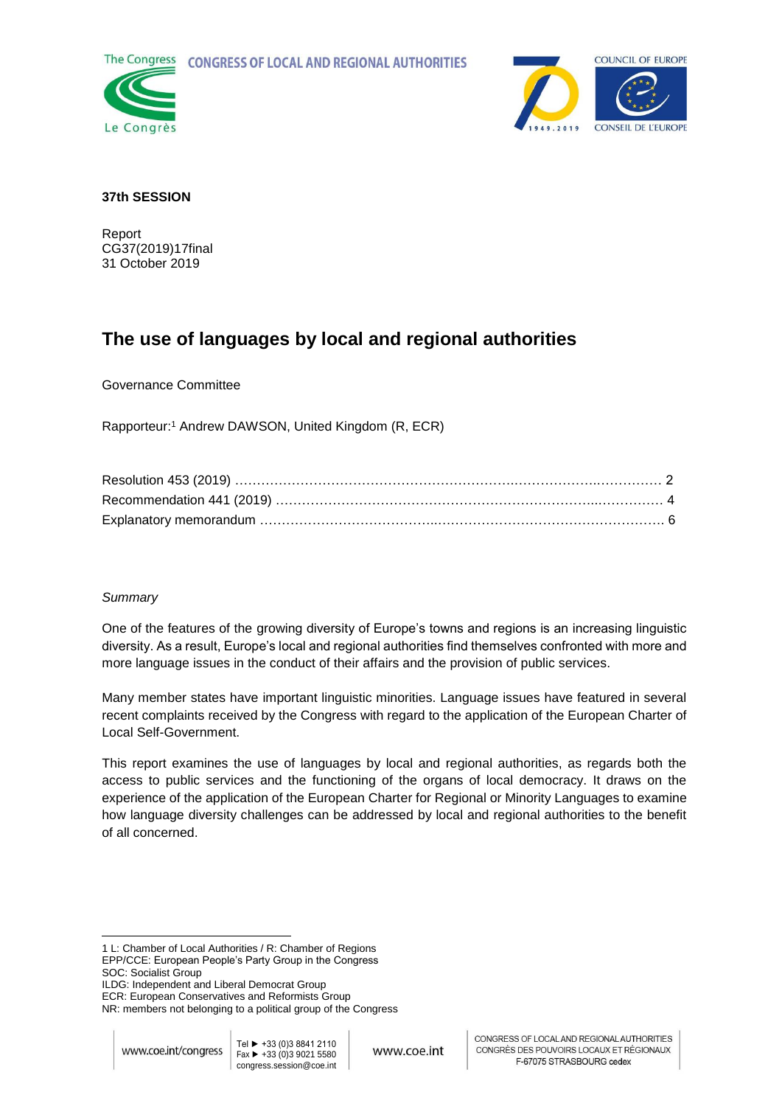



## **37th SESSION**

Report CG37(2019)17final 31 October 2019

# **The use of languages by local and regional authorities**

Governance Committee

Rapporteur: <sup>1</sup> Andrew DAWSON, United Kingdom (R, ECR)

# *Summary*

One of the features of the growing diversity of Europe's towns and regions is an increasing linguistic diversity. As a result, Europe's local and regional authorities find themselves confronted with more and more language issues in the conduct of their affairs and the provision of public services.

Many member states have important linguistic minorities. Language issues have featured in several recent complaints received by the Congress with regard to the application of the European Charter of Local Self-Government.

This report examines the use of languages by local and regional authorities, as regards both the access to public services and the functioning of the organs of local democracy. It draws on the experience of the application of the European Charter for Regional or Minority Languages to examine how language diversity challenges can be addressed by local and regional authorities to the benefit of all concerned.

<sup>-</sup>1 L: Chamber of Local Authorities / R: Chamber of Regions EPP/CCE: European People's Party Group in the Congress SOC: Socialist Group

ILDG: Independent and Liberal Democrat Group

ECR: European Conservatives and Reformists Group

NR: members not belonging to a political group of the Congress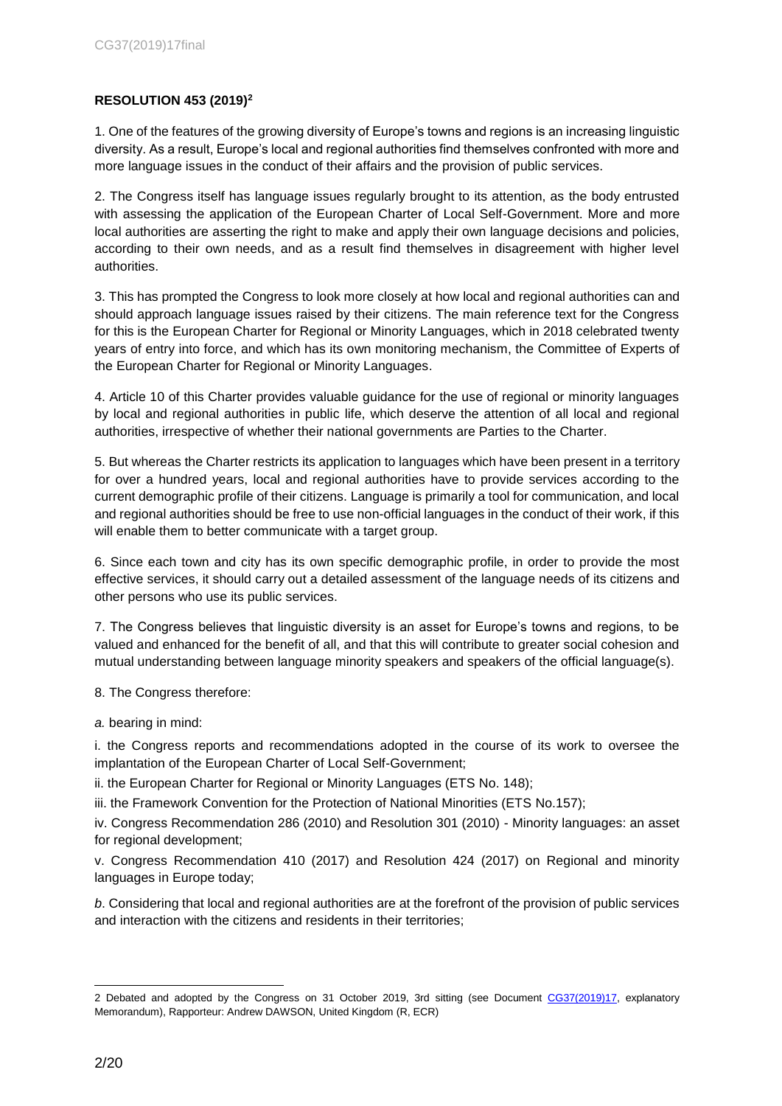# **RESOLUTION 453 (2019)<sup>2</sup>**

1. One of the features of the growing diversity of Europe's towns and regions is an increasing linguistic diversity. As a result, Europe's local and regional authorities find themselves confronted with more and more language issues in the conduct of their affairs and the provision of public services.

2. The Congress itself has language issues regularly brought to its attention, as the body entrusted with assessing the application of the European Charter of Local Self-Government. More and more local authorities are asserting the right to make and apply their own language decisions and policies, according to their own needs, and as a result find themselves in disagreement with higher level authorities.

3. This has prompted the Congress to look more closely at how local and regional authorities can and should approach language issues raised by their citizens. The main reference text for the Congress for this is the European Charter for Regional or Minority Languages, which in 2018 celebrated twenty years of entry into force, and which has its own monitoring mechanism, the Committee of Experts of the European Charter for Regional or Minority Languages.

4. Article 10 of this Charter provides valuable guidance for the use of regional or minority languages by local and regional authorities in public life, which deserve the attention of all local and regional authorities, irrespective of whether their national governments are Parties to the Charter.

5. But whereas the Charter restricts its application to languages which have been present in a territory for over a hundred years, local and regional authorities have to provide services according to the current demographic profile of their citizens. Language is primarily a tool for communication, and local and regional authorities should be free to use non-official languages in the conduct of their work, if this will enable them to better communicate with a target group.

6. Since each town and city has its own specific demographic profile, in order to provide the most effective services, it should carry out a detailed assessment of the language needs of its citizens and other persons who use its public services.

7. The Congress believes that linguistic diversity is an asset for Europe's towns and regions, to be valued and enhanced for the benefit of all, and that this will contribute to greater social cohesion and mutual understanding between language minority speakers and speakers of the official language(s).

8. The Congress therefore:

*a.* bearing in mind:

i. the Congress reports and recommendations adopted in the course of its work to oversee the implantation of the European Charter of Local Self-Government;

ii. the European Charter for Regional or Minority Languages (ETS No. 148);

iii. the Framework Convention for the Protection of National Minorities (ETS No.157);

iv. Congress Recommendation 286 (2010) and Resolution 301 (2010) - Minority languages: an asset for regional development;

v. Congress Recommendation 410 (2017) and Resolution 424 (2017) on Regional and minority languages in Europe today;

*b*. Considering that local and regional authorities are at the forefront of the provision of public services and interaction with the citizens and residents in their territories;

<sup>-</sup>2 Debated and adopted by the Congress on 31 October 2019, 3rd sitting (see Document [CG37\(2019\)17,](https://rm.coe.int/the-use-of-languages-by-local-and-regional-authorities-governance-comm/168097f106) explanatory Memorandum), Rapporteur: Andrew DAWSON, United Kingdom (R, ECR)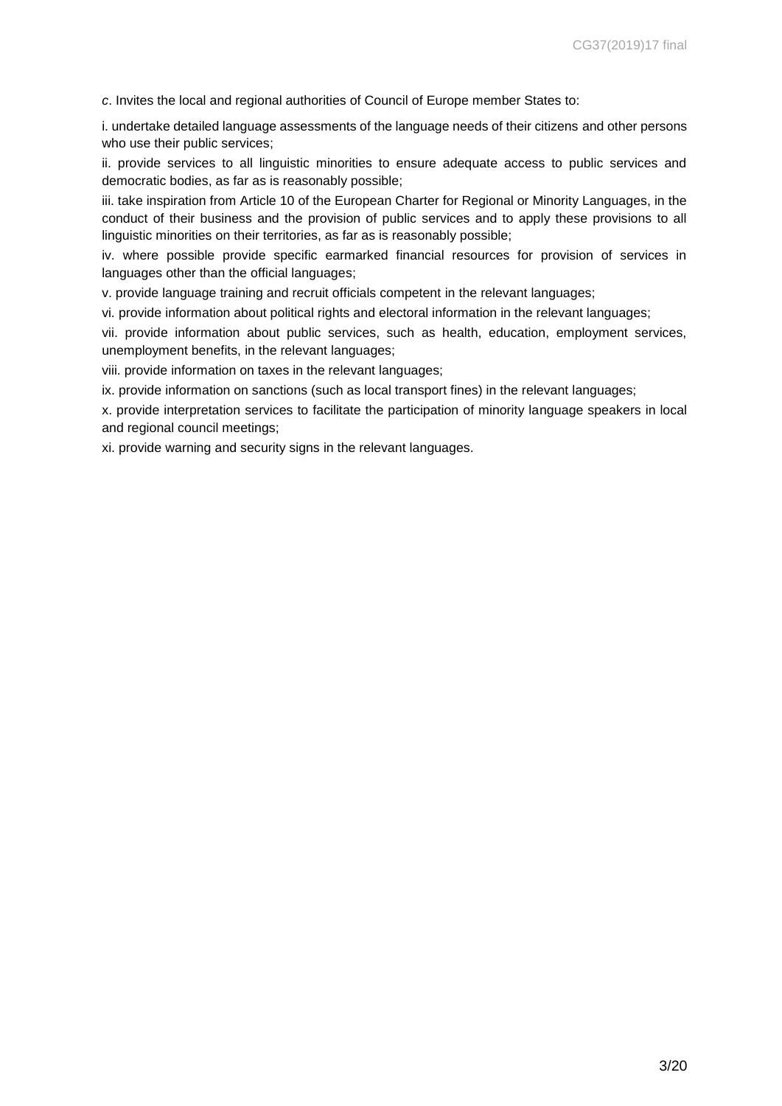*c*. Invites the local and regional authorities of Council of Europe member States to:

i. undertake detailed language assessments of the language needs of their citizens and other persons who use their public services;

ii. provide services to all linguistic minorities to ensure adequate access to public services and democratic bodies, as far as is reasonably possible;

iii. take inspiration from Article 10 of the European Charter for Regional or Minority Languages, in the conduct of their business and the provision of public services and to apply these provisions to all linguistic minorities on their territories, as far as is reasonably possible;

iv. where possible provide specific earmarked financial resources for provision of services in languages other than the official languages;

v. provide language training and recruit officials competent in the relevant languages;

vi. provide information about political rights and electoral information in the relevant languages;

vii. provide information about public services, such as health, education, employment services, unemployment benefits, in the relevant languages;

viii. provide information on taxes in the relevant languages;

ix. provide information on sanctions (such as local transport fines) in the relevant languages;

x. provide interpretation services to facilitate the participation of minority language speakers in local and regional council meetings;

xi. provide warning and security signs in the relevant languages.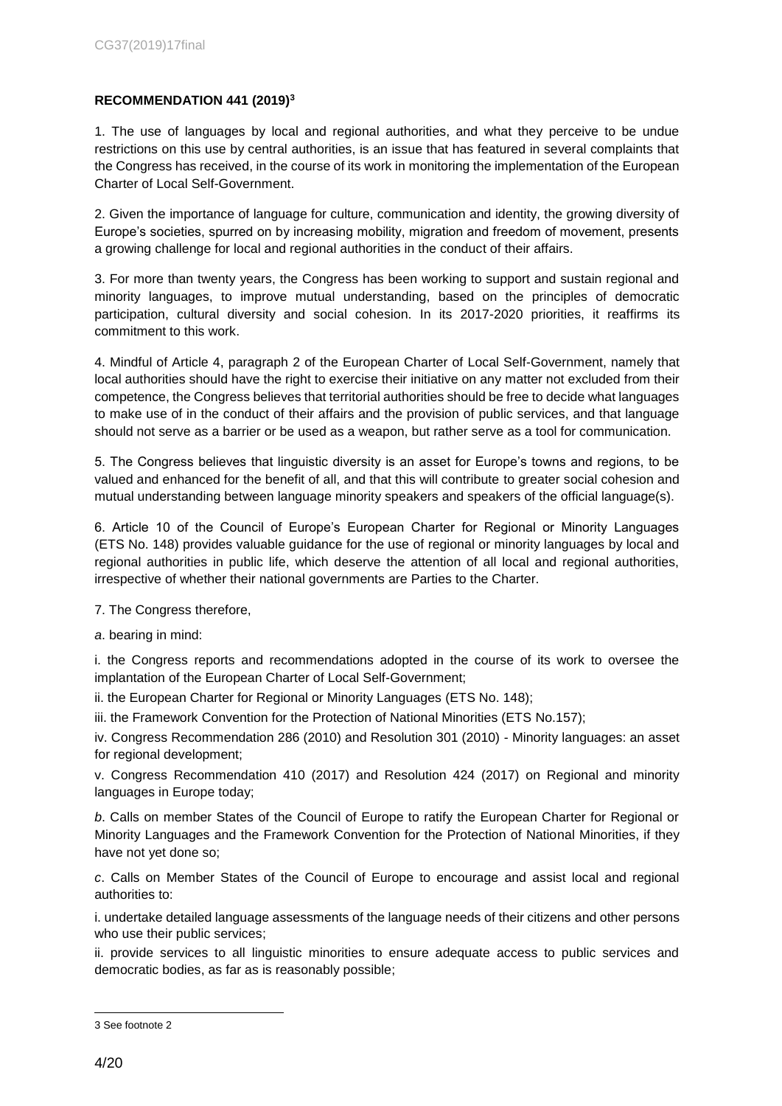## **RECOMMENDATION 441 (2019)<sup>3</sup>**

1. The use of languages by local and regional authorities, and what they perceive to be undue restrictions on this use by central authorities, is an issue that has featured in several complaints that the Congress has received, in the course of its work in monitoring the implementation of the European Charter of Local Self-Government.

2. Given the importance of language for culture, communication and identity, the growing diversity of Europe's societies, spurred on by increasing mobility, migration and freedom of movement, presents a growing challenge for local and regional authorities in the conduct of their affairs.

3. For more than twenty years, the Congress has been working to support and sustain regional and minority languages, to improve mutual understanding, based on the principles of democratic participation, cultural diversity and social cohesion. In its 2017-2020 priorities, it reaffirms its commitment to this work.

4. Mindful of Article 4, paragraph 2 of the European Charter of Local Self-Government, namely that local authorities should have the right to exercise their initiative on any matter not excluded from their competence, the Congress believes that territorial authorities should be free to decide what languages to make use of in the conduct of their affairs and the provision of public services, and that language should not serve as a barrier or be used as a weapon, but rather serve as a tool for communication.

5. The Congress believes that linguistic diversity is an asset for Europe's towns and regions, to be valued and enhanced for the benefit of all, and that this will contribute to greater social cohesion and mutual understanding between language minority speakers and speakers of the official language(s).

6. Article 10 of the Council of Europe's European Charter for Regional or Minority Languages (ETS No. 148) provides valuable guidance for the use of regional or minority languages by local and regional authorities in public life, which deserve the attention of all local and regional authorities, irrespective of whether their national governments are Parties to the Charter.

7. The Congress therefore,

*a*. bearing in mind:

i. the Congress reports and recommendations adopted in the course of its work to oversee the implantation of the European Charter of Local Self-Government;

ii. the European Charter for Regional or Minority Languages (ETS No. 148);

iii. the Framework Convention for the Protection of National Minorities (ETS No.157);

iv. Congress Recommendation 286 (2010) and Resolution 301 (2010) - Minority languages: an asset for regional development;

v. Congress Recommendation 410 (2017) and Resolution 424 (2017) on Regional and minority languages in Europe today;

*b*. Calls on member States of the Council of Europe to ratify the European Charter for Regional or Minority Languages and the Framework Convention for the Protection of National Minorities, if they have not yet done so;

*c*. Calls on Member States of the Council of Europe to encourage and assist local and regional authorities to:

i. undertake detailed language assessments of the language needs of their citizens and other persons who use their public services;

ii. provide services to all linguistic minorities to ensure adequate access to public services and democratic bodies, as far as is reasonably possible;

<sup>-</sup>3 See footnote 2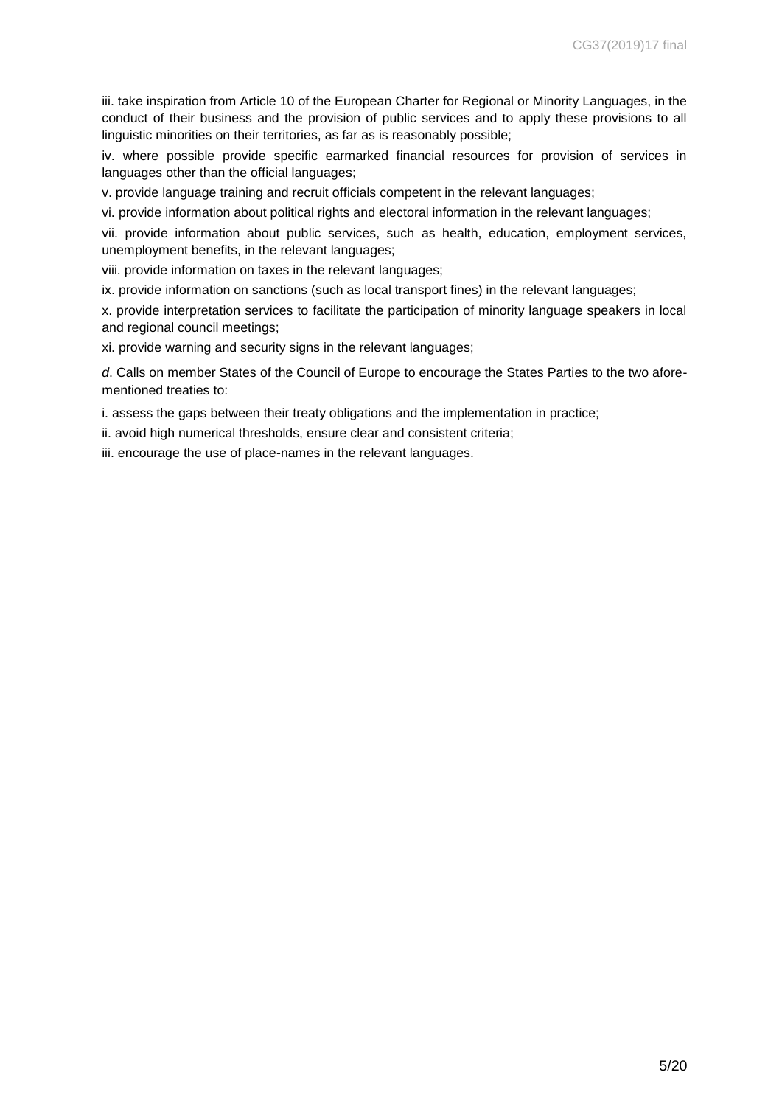CG37(2019)17 final

iii. take inspiration from Article 10 of the European Charter for Regional or Minority Languages, in the conduct of their business and the provision of public services and to apply these provisions to all linguistic minorities on their territories, as far as is reasonably possible;

iv. where possible provide specific earmarked financial resources for provision of services in languages other than the official languages;

v. provide language training and recruit officials competent in the relevant languages;

vi. provide information about political rights and electoral information in the relevant languages;

vii. provide information about public services, such as health, education, employment services, unemployment benefits, in the relevant languages;

viii. provide information on taxes in the relevant languages;

ix. provide information on sanctions (such as local transport fines) in the relevant languages;

x. provide interpretation services to facilitate the participation of minority language speakers in local and regional council meetings;

xi. provide warning and security signs in the relevant languages;

*d*. Calls on member States of the Council of Europe to encourage the States Parties to the two aforementioned treaties to:

i. assess the gaps between their treaty obligations and the implementation in practice;

ii. avoid high numerical thresholds, ensure clear and consistent criteria;

iii. encourage the use of place-names in the relevant languages.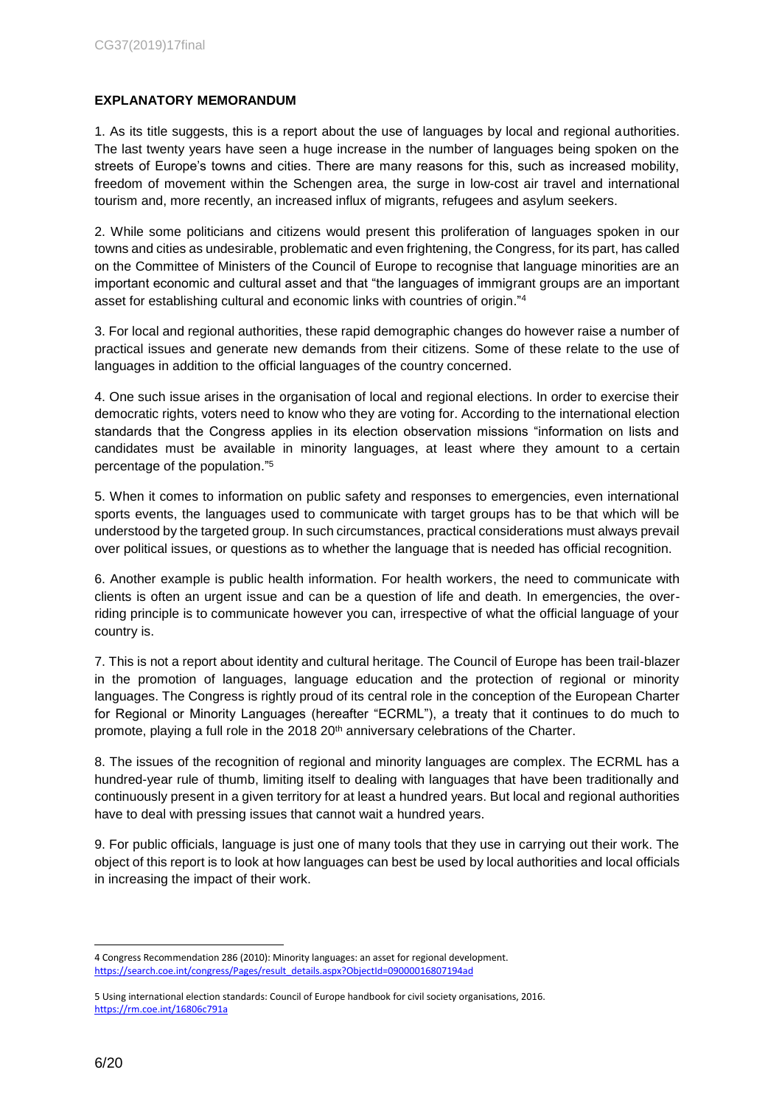#### **EXPLANATORY MEMORANDUM**

1. As its title suggests, this is a report about the use of languages by local and regional authorities. The last twenty years have seen a huge increase in the number of languages being spoken on the streets of Europe's towns and cities. There are many reasons for this, such as increased mobility, freedom of movement within the Schengen area, the surge in low-cost air travel and international tourism and, more recently, an increased influx of migrants, refugees and asylum seekers.

2. While some politicians and citizens would present this proliferation of languages spoken in our towns and cities as undesirable, problematic and even frightening, the Congress, for its part, has called on the Committee of Ministers of the Council of Europe to recognise that language minorities are an important economic and cultural asset and that "the languages of immigrant groups are an important asset for establishing cultural and economic links with countries of origin." 4

3. For local and regional authorities, these rapid demographic changes do however raise a number of practical issues and generate new demands from their citizens. Some of these relate to the use of languages in addition to the official languages of the country concerned.

4. One such issue arises in the organisation of local and regional elections. In order to exercise their democratic rights, voters need to know who they are voting for. According to the international election standards that the Congress applies in its election observation missions "information on lists and candidates must be available in minority languages, at least where they amount to a certain percentage of the population." 5

5. When it comes to information on public safety and responses to emergencies, even international sports events, the languages used to communicate with target groups has to be that which will be understood by the targeted group. In such circumstances, practical considerations must always prevail over political issues, or questions as to whether the language that is needed has official recognition.

6. Another example is public health information. For health workers, the need to communicate with clients is often an urgent issue and can be a question of life and death. In emergencies, the overriding principle is to communicate however you can, irrespective of what the official language of your country is.

7. This is not a report about identity and cultural heritage. The Council of Europe has been trail-blazer in the promotion of languages, language education and the protection of regional or minority languages. The Congress is rightly proud of its central role in the conception of the European Charter for Regional or Minority Languages (hereafter "ECRML"), a treaty that it continues to do much to promote, playing a full role in the 2018 20<sup>th</sup> anniversary celebrations of the Charter.

8. The issues of the recognition of regional and minority languages are complex. The ECRML has a hundred-year rule of thumb, limiting itself to dealing with languages that have been traditionally and continuously present in a given territory for at least a hundred years. But local and regional authorities have to deal with pressing issues that cannot wait a hundred years.

9. For public officials, language is just one of many tools that they use in carrying out their work. The object of this report is to look at how languages can best be used by local authorities and local officials in increasing the impact of their work.

-

<sup>4</sup> Congress Recommendation 286 (2010): Minority languages: an asset for regional development. [https://search.coe.int/congress/Pages/result\\_details.aspx?ObjectId=09000016807194ad](https://search.coe.int/congress/Pages/result_details.aspx?ObjectId=09000016807194ad)

<sup>5</sup> Using international election standards: Council of Europe handbook for civil society organisations, 2016. <https://rm.coe.int/16806c791a>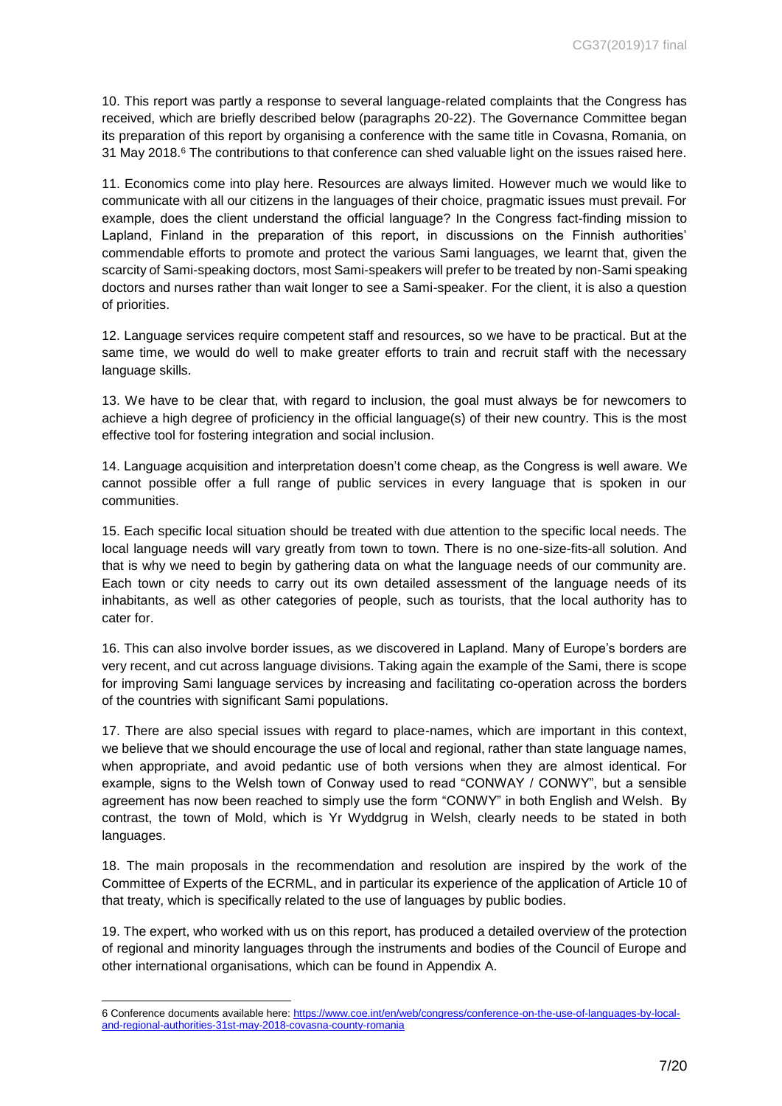10. This report was partly a response to several language-related complaints that the Congress has received, which are briefly described below (paragraphs 20-22). The Governance Committee began its preparation of this report by organising a conference with the same title in Covasna, Romania, on 31 May 2018.<sup>6</sup> The contributions to that conference can shed valuable light on the issues raised here.

11. Economics come into play here. Resources are always limited. However much we would like to communicate with all our citizens in the languages of their choice, pragmatic issues must prevail. For example, does the client understand the official language? In the Congress fact-finding mission to Lapland, Finland in the preparation of this report, in discussions on the Finnish authorities' commendable efforts to promote and protect the various Sami languages, we learnt that, given the scarcity of Sami-speaking doctors, most Sami-speakers will prefer to be treated by non-Sami speaking doctors and nurses rather than wait longer to see a Sami-speaker. For the client, it is also a question of priorities.

12. Language services require competent staff and resources, so we have to be practical. But at the same time, we would do well to make greater efforts to train and recruit staff with the necessary language skills.

13. We have to be clear that, with regard to inclusion, the goal must always be for newcomers to achieve a high degree of proficiency in the official language(s) of their new country. This is the most effective tool for fostering integration and social inclusion.

14. Language acquisition and interpretation doesn't come cheap, as the Congress is well aware. We cannot possible offer a full range of public services in every language that is spoken in our communities.

15. Each specific local situation should be treated with due attention to the specific local needs. The local language needs will vary greatly from town to town. There is no one-size-fits-all solution. And that is why we need to begin by gathering data on what the language needs of our community are. Each town or city needs to carry out its own detailed assessment of the language needs of its inhabitants, as well as other categories of people, such as tourists, that the local authority has to cater for.

16. This can also involve border issues, as we discovered in Lapland. Many of Europe's borders are very recent, and cut across language divisions. Taking again the example of the Sami, there is scope for improving Sami language services by increasing and facilitating co-operation across the borders of the countries with significant Sami populations.

17. There are also special issues with regard to place-names, which are important in this context, we believe that we should encourage the use of local and regional, rather than state language names, when appropriate, and avoid pedantic use of both versions when they are almost identical. For example, signs to the Welsh town of Conway used to read "CONWAY / CONWY", but a sensible agreement has now been reached to simply use the form "CONWY" in both English and Welsh. By contrast, the town of Mold, which is Yr Wyddgrug in Welsh, clearly needs to be stated in both languages.

18. The main proposals in the recommendation and resolution are inspired by the work of the Committee of Experts of the ECRML, and in particular its experience of the application of Article 10 of that treaty, which is specifically related to the use of languages by public bodies.

19. The expert, who worked with us on this report, has produced a detailed overview of the protection of regional and minority languages through the instruments and bodies of the Council of Europe and other international organisations, which can be found in Appendix A.

<sup>-</sup>6 Conference documents available here[: https://www.coe.int/en/web/congress/conference-on-the-use-of-languages-by-local](https://www.coe.int/en/web/congress/conference-on-the-use-of-languages-by-local-and-regional-authorities-31st-may-2018-covasna-county-romania)[and-regional-authorities-31st-may-2018-covasna-county-romania](https://www.coe.int/en/web/congress/conference-on-the-use-of-languages-by-local-and-regional-authorities-31st-may-2018-covasna-county-romania)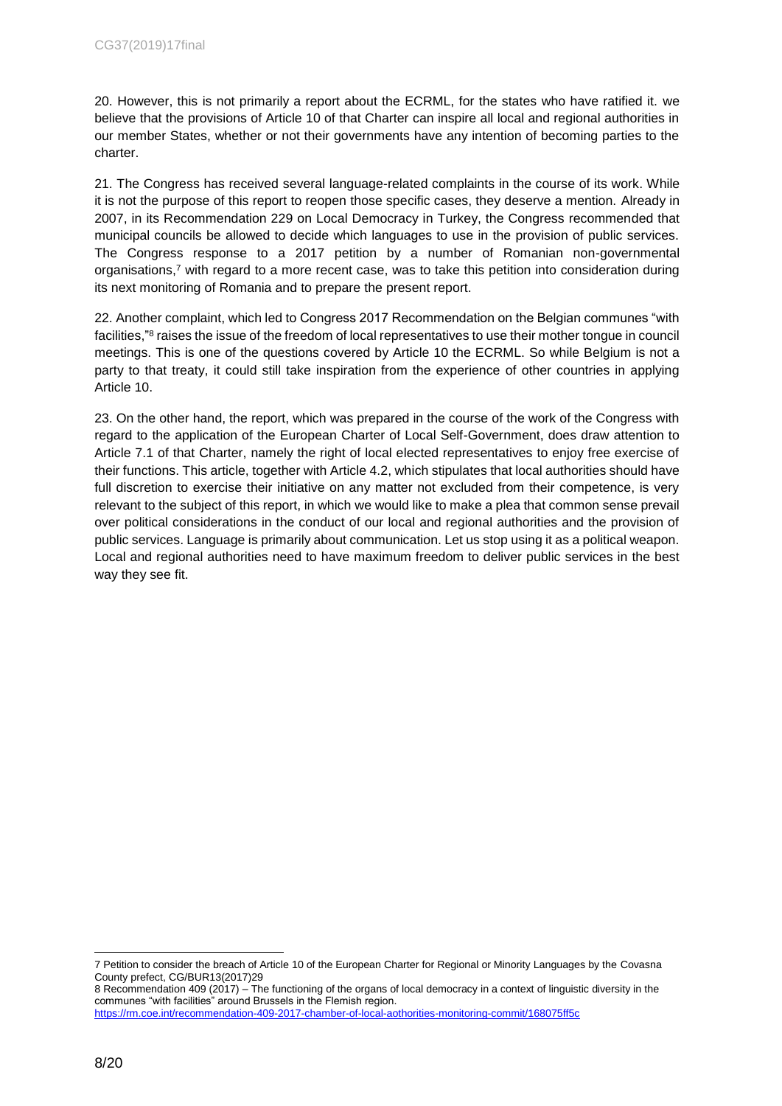20. However, this is not primarily a report about the ECRML, for the states who have ratified it. we believe that the provisions of Article 10 of that Charter can inspire all local and regional authorities in our member States, whether or not their governments have any intention of becoming parties to the charter.

21. The Congress has received several language-related complaints in the course of its work. While it is not the purpose of this report to reopen those specific cases, they deserve a mention. Already in 2007, in its Recommendation 229 on Local Democracy in Turkey, the Congress recommended that municipal councils be allowed to decide which languages to use in the provision of public services. The Congress response to a 2017 petition by a number of Romanian non-governmental organisations, <sup>7</sup> with regard to a more recent case, was to take this petition into consideration during its next monitoring of Romania and to prepare the present report.

22. Another complaint, which led to Congress 2017 Recommendation on the Belgian communes "with facilities,"<sup>8</sup> raises the issue of the freedom of local representatives to use their mother tongue in council meetings. This is one of the questions covered by Article 10 the ECRML. So while Belgium is not a party to that treaty, it could still take inspiration from the experience of other countries in applying Article 10.

23. On the other hand, the report, which was prepared in the course of the work of the Congress with regard to the application of the European Charter of Local Self-Government, does draw attention to Article 7.1 of that Charter, namely the right of local elected representatives to enjoy free exercise of their functions. This article, together with Article 4.2, which stipulates that local authorities should have full discretion to exercise their initiative on any matter not excluded from their competence, is very relevant to the subject of this report, in which we would like to make a plea that common sense prevail over political considerations in the conduct of our local and regional authorities and the provision of public services. Language is primarily about communication. Let us stop using it as a political weapon. Local and regional authorities need to have maximum freedom to deliver public services in the best way they see fit.

-

<sup>7</sup> Petition to consider the breach of Article 10 of the European Charter for Regional or Minority Languages by the Covasna County prefect, CG/BUR13(2017)29

<sup>8</sup> Recommendation 409 (2017) – The functioning of the organs of local democracy in a context of linguistic diversity in the communes "with facilities" around Brussels in the Flemish region.

<https://rm.coe.int/recommendation-409-2017-chamber-of-local-aothorities-monitoring-commit/168075ff5c>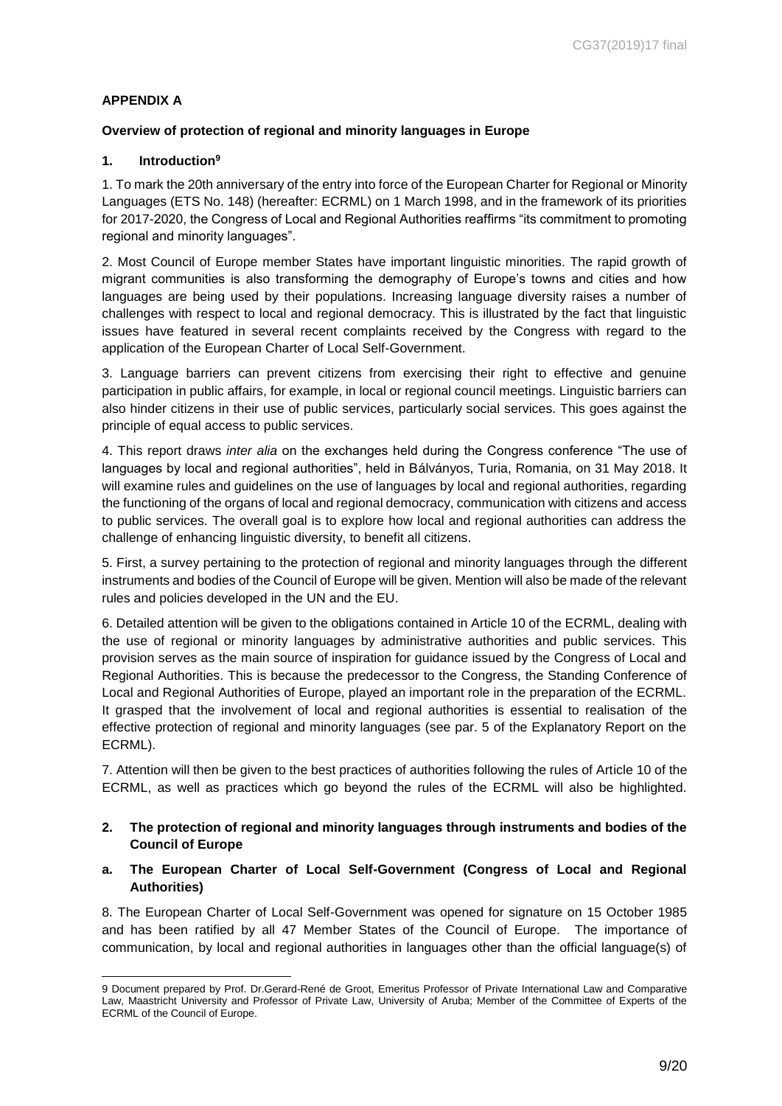#### **APPENDIX A**

#### **Overview of protection of regional and minority languages in Europe**

#### **1. Introduction<sup>9</sup>**

1. To mark the 20th anniversary of the entry into force of the European Charter for Regional or Minority Languages (ETS No. 148) (hereafter: ECRML) on 1 March 1998, and in the framework of its priorities for 2017-2020, the Congress of Local and Regional Authorities reaffirms "its commitment to promoting regional and minority languages".

2. Most Council of Europe member States have important linguistic minorities. The rapid growth of migrant communities is also transforming the demography of Europe's towns and cities and how languages are being used by their populations. Increasing language diversity raises a number of challenges with respect to local and regional democracy. This is illustrated by the fact that linguistic issues have featured in several recent complaints received by the Congress with regard to the application of the European Charter of Local Self-Government.

3. Language barriers can prevent citizens from exercising their right to effective and genuine participation in public affairs, for example, in local or regional council meetings. Linguistic barriers can also hinder citizens in their use of public services, particularly social services. This goes against the principle of equal access to public services.

4. This report draws *inter alia* on the exchanges held during the Congress conference "The use of languages by local and regional authorities", held in Bálványos, Turia, Romania, on 31 May 2018. It will examine rules and guidelines on the use of languages by local and regional authorities, regarding the functioning of the organs of local and regional democracy, communication with citizens and access to public services. The overall goal is to explore how local and regional authorities can address the challenge of enhancing linguistic diversity, to benefit all citizens.

5. First, a survey pertaining to the protection of regional and minority languages through the different instruments and bodies of the Council of Europe will be given. Mention will also be made of the relevant rules and policies developed in the UN and the EU.

6. Detailed attention will be given to the obligations contained in Article 10 of the ECRML, dealing with the use of regional or minority languages by administrative authorities and public services. This provision serves as the main source of inspiration for guidance issued by the Congress of Local and Regional Authorities. This is because the predecessor to the Congress, the Standing Conference of Local and Regional Authorities of Europe, played an important role in the preparation of the ECRML. It grasped that the involvement of local and regional authorities is essential to realisation of the effective protection of regional and minority languages (see par. 5 of the Explanatory Report on the ECRML).

7. Attention will then be given to the best practices of authorities following the rules of Article 10 of the ECRML, as well as practices which go beyond the rules of the ECRML will also be highlighted.

### **2. The protection of regional and minority languages through instruments and bodies of the Council of Europe**

### **a. The European Charter of Local Self-Government (Congress of Local and Regional Authorities)**

8. The European Charter of Local Self-Government was opened for signature on 15 October 1985 and has been ratified by all 47 Member States of the Council of Europe. The importance of communication, by local and regional authorities in languages other than the official language(s) of

<sup>-</sup>9 Document prepared by Prof. Dr.Gerard-René de Groot, Emeritus Professor of Private International Law and Comparative Law, Maastricht University and Professor of Private Law, University of Aruba; Member of the Committee of Experts of the ECRML of the Council of Europe.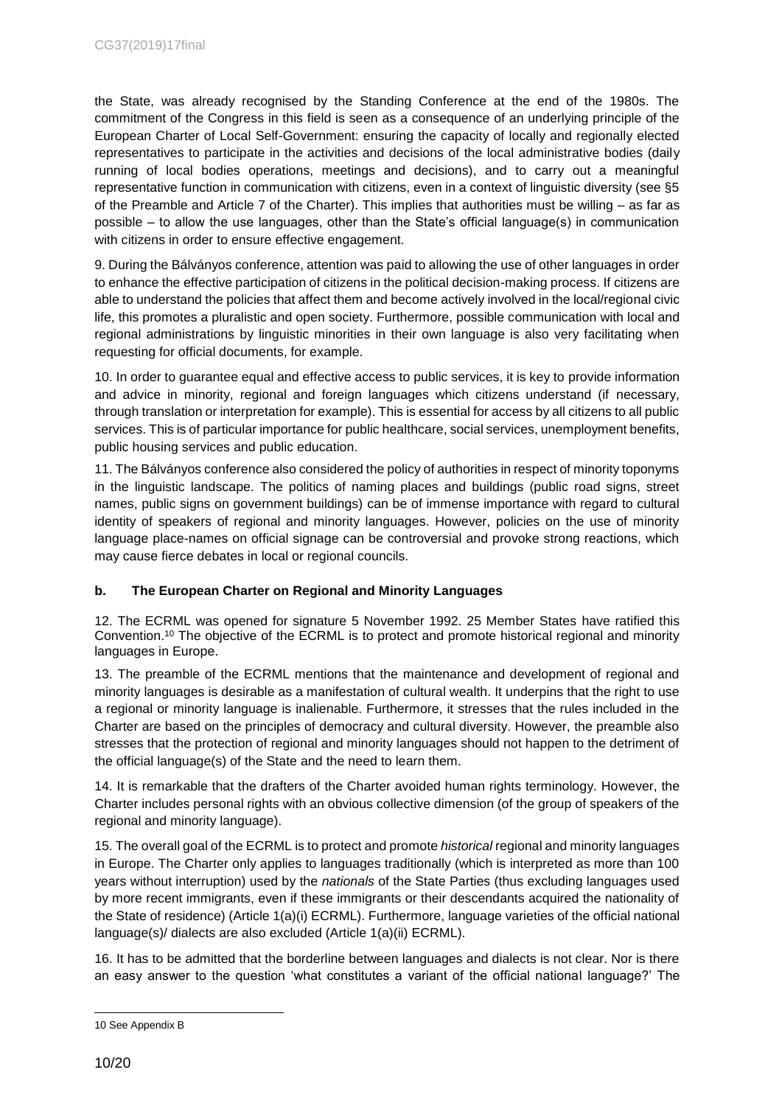the State, was already recognised by the Standing Conference at the end of the 1980s. The commitment of the Congress in this field is seen as a consequence of an underlying principle of the European Charter of Local Self-Government: ensuring the capacity of locally and regionally elected representatives to participate in the activities and decisions of the local administrative bodies (daily running of local bodies operations, meetings and decisions), and to carry out a meaningful representative function in communication with citizens, even in a context of linguistic diversity (see §5 of the Preamble and Article 7 of the Charter). This implies that authorities must be willing – as far as possible – to allow the use languages, other than the State's official language(s) in communication with citizens in order to ensure effective engagement.

9. During the Bálványos conference, attention was paid to allowing the use of other languages in order to enhance the effective participation of citizens in the political decision-making process. If citizens are able to understand the policies that affect them and become actively involved in the local/regional civic life, this promotes a pluralistic and open society. Furthermore, possible communication with local and regional administrations by linguistic minorities in their own language is also very facilitating when requesting for official documents, for example.

10. In order to guarantee equal and effective access to public services, it is key to provide information and advice in minority, regional and foreign languages which citizens understand (if necessary, through translation or interpretation for example). This is essential for access by all citizens to all public services. This is of particular importance for public healthcare, social services, unemployment benefits, public housing services and public education.

11. The Bálványos conference also considered the policy of authorities in respect of minority toponyms in the linguistic landscape. The politics of naming places and buildings (public road signs, street names, public signs on government buildings) can be of immense importance with regard to cultural identity of speakers of regional and minority languages. However, policies on the use of minority language place-names on official signage can be controversial and provoke strong reactions, which may cause fierce debates in local or regional councils.

# **b. The European Charter on Regional and Minority Languages**

12. The ECRML was opened for signature 5 November 1992. 25 Member States have ratified this Convention. <sup>10</sup> The objective of the ECRML is to protect and promote historical regional and minority languages in Europe.

13. The preamble of the ECRML mentions that the maintenance and development of regional and minority languages is desirable as a manifestation of cultural wealth. It underpins that the right to use a regional or minority language is inalienable. Furthermore, it stresses that the rules included in the Charter are based on the principles of democracy and cultural diversity. However, the preamble also stresses that the protection of regional and minority languages should not happen to the detriment of the official language(s) of the State and the need to learn them.

14. It is remarkable that the drafters of the Charter avoided human rights terminology. However, the Charter includes personal rights with an obvious collective dimension (of the group of speakers of the regional and minority language).

15. The overall goal of the ECRML is to protect and promote *historical* regional and minority languages in Europe. The Charter only applies to languages traditionally (which is interpreted as more than 100 years without interruption) used by the *nationals* of the State Parties (thus excluding languages used by more recent immigrants, even if these immigrants or their descendants acquired the nationality of the State of residence) (Article 1(a)(i) ECRML). Furthermore, language varieties of the official national language(s)/ dialects are also excluded (Article 1(a)(ii) ECRML).

16. It has to be admitted that the borderline between languages and dialects is not clear. Nor is there an easy answer to the question 'what constitutes a variant of the official national language?' The

<sup>-</sup>10 See Appendix B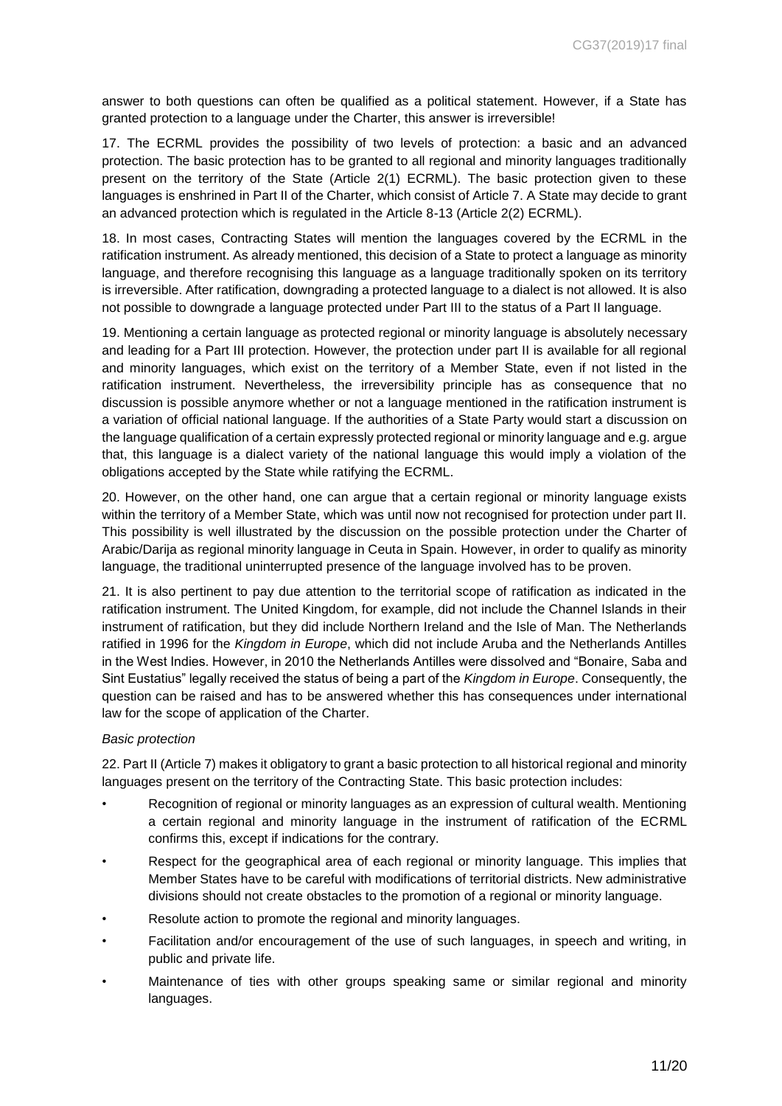answer to both questions can often be qualified as a political statement. However, if a State has granted protection to a language under the Charter, this answer is irreversible!

17. The ECRML provides the possibility of two levels of protection: a basic and an advanced protection. The basic protection has to be granted to all regional and minority languages traditionally present on the territory of the State (Article 2(1) ECRML). The basic protection given to these languages is enshrined in Part II of the Charter, which consist of Article 7. A State may decide to grant an advanced protection which is regulated in the Article 8-13 (Article 2(2) ECRML).

18. In most cases, Contracting States will mention the languages covered by the ECRML in the ratification instrument. As already mentioned, this decision of a State to protect a language as minority language, and therefore recognising this language as a language traditionally spoken on its territory is irreversible. After ratification, downgrading a protected language to a dialect is not allowed. It is also not possible to downgrade a language protected under Part III to the status of a Part II language.

19. Mentioning a certain language as protected regional or minority language is absolutely necessary and leading for a Part III protection. However, the protection under part II is available for all regional and minority languages, which exist on the territory of a Member State, even if not listed in the ratification instrument. Nevertheless, the irreversibility principle has as consequence that no discussion is possible anymore whether or not a language mentioned in the ratification instrument is a variation of official national language. If the authorities of a State Party would start a discussion on the language qualification of a certain expressly protected regional or minority language and e.g. argue that, this language is a dialect variety of the national language this would imply a violation of the obligations accepted by the State while ratifying the ECRML.

20. However, on the other hand, one can argue that a certain regional or minority language exists within the territory of a Member State, which was until now not recognised for protection under part II. This possibility is well illustrated by the discussion on the possible protection under the Charter of Arabic/Darija as regional minority language in Ceuta in Spain. However, in order to qualify as minority language, the traditional uninterrupted presence of the language involved has to be proven.

21. It is also pertinent to pay due attention to the territorial scope of ratification as indicated in the ratification instrument. The United Kingdom, for example, did not include the Channel Islands in their instrument of ratification, but they did include Northern Ireland and the Isle of Man. The Netherlands ratified in 1996 for the *Kingdom in Europe*, which did not include Aruba and the Netherlands Antilles in the West Indies. However, in 2010 the Netherlands Antilles were dissolved and "Bonaire, Saba and Sint Eustatius" legally received the status of being a part of the *Kingdom in Europe*. Consequently, the question can be raised and has to be answered whether this has consequences under international law for the scope of application of the Charter.

#### *Basic protection*

22. Part II (Article 7) makes it obligatory to grant a basic protection to all historical regional and minority languages present on the territory of the Contracting State. This basic protection includes:

- Recognition of regional or minority languages as an expression of cultural wealth. Mentioning a certain regional and minority language in the instrument of ratification of the ECRML confirms this, except if indications for the contrary.
- Respect for the geographical area of each regional or minority language. This implies that Member States have to be careful with modifications of territorial districts. New administrative divisions should not create obstacles to the promotion of a regional or minority language.
- Resolute action to promote the regional and minority languages.
- Facilitation and/or encouragement of the use of such languages, in speech and writing, in public and private life.
- Maintenance of ties with other groups speaking same or similar regional and minority languages.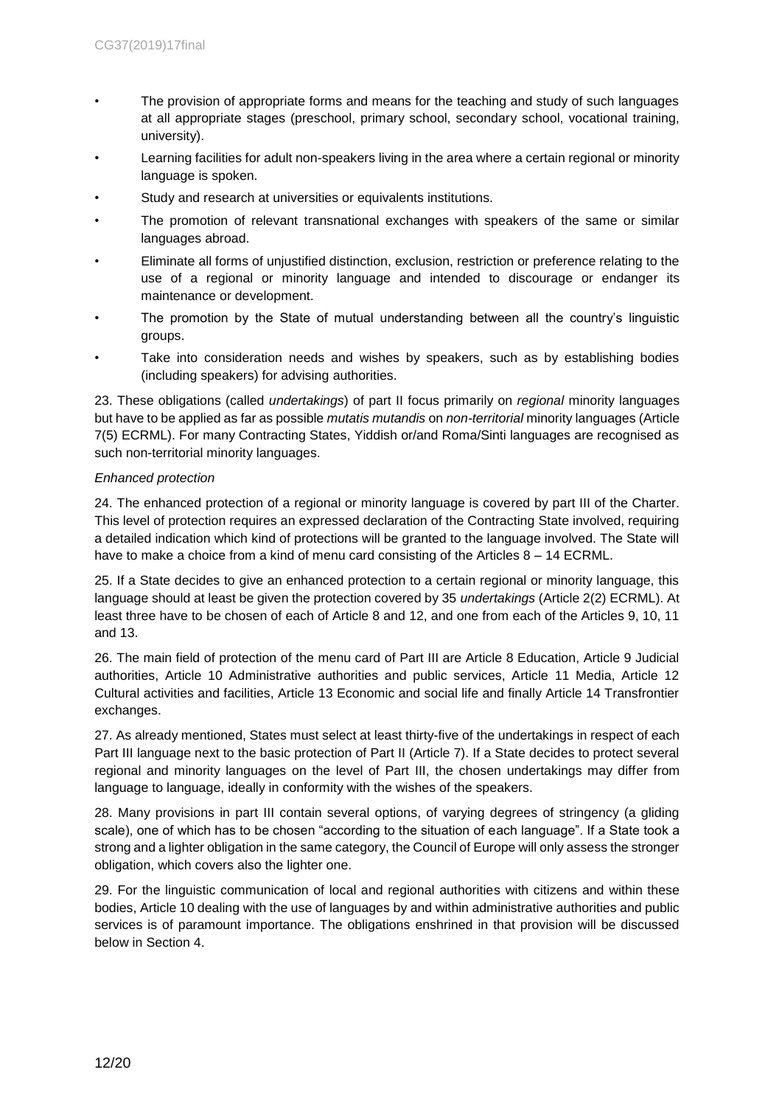- The provision of appropriate forms and means for the teaching and study of such languages at all appropriate stages (preschool, primary school, secondary school, vocational training, university).
- Learning facilities for adult non-speakers living in the area where a certain regional or minority language is spoken.
- Study and research at universities or equivalents institutions.
- The promotion of relevant transnational exchanges with speakers of the same or similar languages abroad.
- Eliminate all forms of unjustified distinction, exclusion, restriction or preference relating to the use of a regional or minority language and intended to discourage or endanger its maintenance or development.
- The promotion by the State of mutual understanding between all the country's linguistic groups.
- Take into consideration needs and wishes by speakers, such as by establishing bodies (including speakers) for advising authorities.

23. These obligations (called *undertakings*) of part II focus primarily on *regional* minority languages but have to be applied as far as possible *mutatis mutandis* on *non-territorial* minority languages (Article 7(5) ECRML). For many Contracting States, Yiddish or/and Roma/Sinti languages are recognised as such non-territorial minority languages.

# *Enhanced protection*

24. The enhanced protection of a regional or minority language is covered by part III of the Charter. This level of protection requires an expressed declaration of the Contracting State involved, requiring a detailed indication which kind of protections will be granted to the language involved. The State will have to make a choice from a kind of menu card consisting of the Articles 8 – 14 ECRML.

25. If a State decides to give an enhanced protection to a certain regional or minority language, this language should at least be given the protection covered by 35 *undertakings* (Article 2(2) ECRML). At least three have to be chosen of each of Article 8 and 12, and one from each of the Articles 9, 10, 11 and 13.

26. The main field of protection of the menu card of Part III are Article 8 Education, Article 9 Judicial authorities, Article 10 Administrative authorities and public services, Article 11 Media, Article 12 Cultural activities and facilities, Article 13 Economic and social life and finally Article 14 Transfrontier exchanges.

27. As already mentioned, States must select at least thirty-five of the undertakings in respect of each Part III language next to the basic protection of Part II (Article 7). If a State decides to protect several regional and minority languages on the level of Part III, the chosen undertakings may differ from language to language, ideally in conformity with the wishes of the speakers.

28. Many provisions in part III contain several options, of varying degrees of stringency (a gliding scale), one of which has to be chosen "according to the situation of each language". If a State took a strong and a lighter obligation in the same category, the Council of Europe will only assess the stronger obligation, which covers also the lighter one.

29. For the linguistic communication of local and regional authorities with citizens and within these bodies, Article 10 dealing with the use of languages by and within administrative authorities and public services is of paramount importance. The obligations enshrined in that provision will be discussed below in Section 4.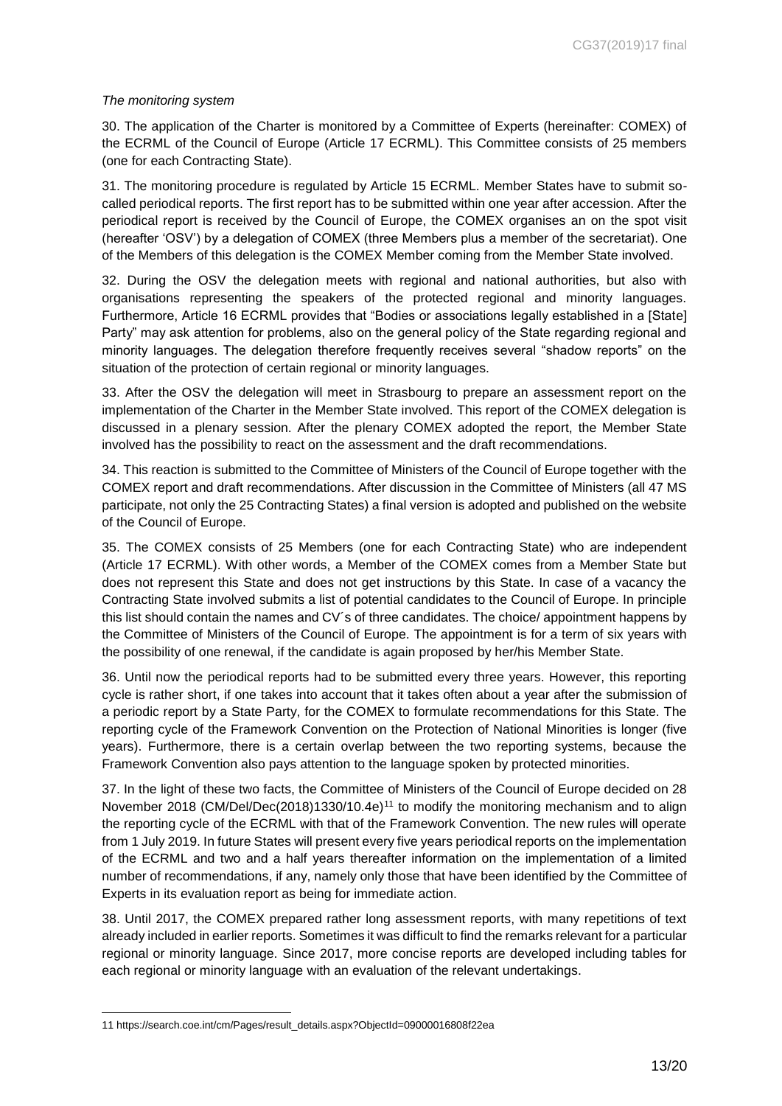#### *The monitoring system*

30. The application of the Charter is monitored by a Committee of Experts (hereinafter: COMEX) of the ECRML of the Council of Europe (Article 17 ECRML). This Committee consists of 25 members (one for each Contracting State).

31. The monitoring procedure is regulated by Article 15 ECRML. Member States have to submit socalled periodical reports. The first report has to be submitted within one year after accession. After the periodical report is received by the Council of Europe, the COMEX organises an on the spot visit (hereafter 'OSV') by a delegation of COMEX (three Members plus a member of the secretariat). One of the Members of this delegation is the COMEX Member coming from the Member State involved.

32. During the OSV the delegation meets with regional and national authorities, but also with organisations representing the speakers of the protected regional and minority languages. Furthermore, Article 16 ECRML provides that "Bodies or associations legally established in a [State] Party" may ask attention for problems, also on the general policy of the State regarding regional and minority languages. The delegation therefore frequently receives several "shadow reports" on the situation of the protection of certain regional or minority languages.

33. After the OSV the delegation will meet in Strasbourg to prepare an assessment report on the implementation of the Charter in the Member State involved. This report of the COMEX delegation is discussed in a plenary session. After the plenary COMEX adopted the report, the Member State involved has the possibility to react on the assessment and the draft recommendations.

34. This reaction is submitted to the Committee of Ministers of the Council of Europe together with the COMEX report and draft recommendations. After discussion in the Committee of Ministers (all 47 MS participate, not only the 25 Contracting States) a final version is adopted and published on the website of the Council of Europe.

35. The COMEX consists of 25 Members (one for each Contracting State) who are independent (Article 17 ECRML). With other words, a Member of the COMEX comes from a Member State but does not represent this State and does not get instructions by this State. In case of a vacancy the Contracting State involved submits a list of potential candidates to the Council of Europe. In principle this list should contain the names and CV´s of three candidates. The choice/ appointment happens by the Committee of Ministers of the Council of Europe. The appointment is for a term of six years with the possibility of one renewal, if the candidate is again proposed by her/his Member State.

36. Until now the periodical reports had to be submitted every three years. However, this reporting cycle is rather short, if one takes into account that it takes often about a year after the submission of a periodic report by a State Party, for the COMEX to formulate recommendations for this State. The reporting cycle of the Framework Convention on the Protection of National Minorities is longer (five years). Furthermore, there is a certain overlap between the two reporting systems, because the Framework Convention also pays attention to the language spoken by protected minorities.

37. In the light of these two facts, the Committee of Ministers of the Council of Europe decided on 28 November 2018 (CM/Del/Dec(2018)1330/10.4e)<sup>11</sup> to modify the monitoring mechanism and to align the reporting cycle of the ECRML with that of the Framework Convention. The new rules will operate from 1 July 2019. In future States will present every five years periodical reports on the implementation of the ECRML and two and a half years thereafter information on the implementation of a limited number of recommendations, if any, namely only those that have been identified by the Committee of Experts in its evaluation report as being for immediate action.

38. Until 2017, the COMEX prepared rather long assessment reports, with many repetitions of text already included in earlier reports. Sometimes it was difficult to find the remarks relevant for a particular regional or minority language. Since 2017, more concise reports are developed including tables for each regional or minority language with an evaluation of the relevant undertakings.

-

<sup>11</sup> https://search.coe.int/cm/Pages/result\_details.aspx?ObjectId=09000016808f22ea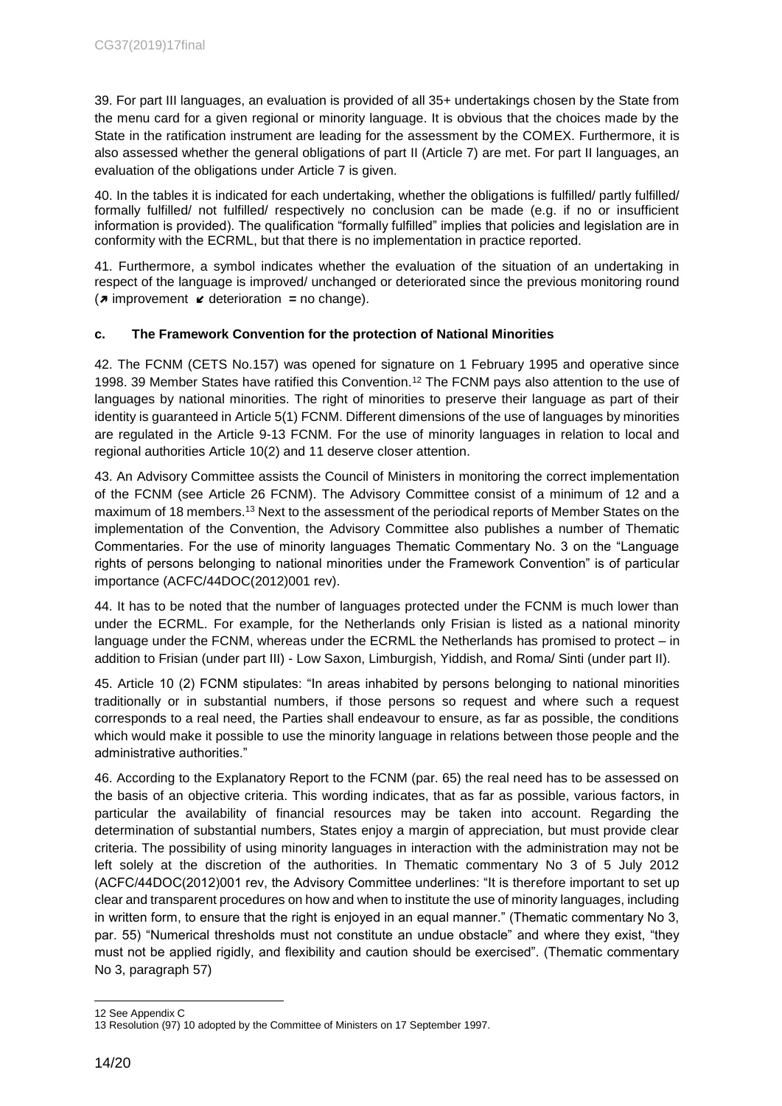39. For part III languages, an evaluation is provided of all 35+ undertakings chosen by the State from the menu card for a given regional or minority language. It is obvious that the choices made by the State in the ratification instrument are leading for the assessment by the COMEX. Furthermore, it is also assessed whether the general obligations of part II (Article 7) are met. For part II languages, an evaluation of the obligations under Article 7 is given.

40. In the tables it is indicated for each undertaking, whether the obligations is fulfilled/ partly fulfilled/ formally fulfilled/ not fulfilled/ respectively no conclusion can be made (e.g. if no or insufficient information is provided). The qualification "formally fulfilled" implies that policies and legislation are in conformity with the ECRML, but that there is no implementation in practice reported.

41. Furthermore, a symbol indicates whether the evaluation of the situation of an undertaking in respect of the language is improved/ unchanged or deteriorated since the previous monitoring round (↗ improvement ↙ deterioration **=** no change).

# **c. The Framework Convention for the protection of National Minorities**

42. The FCNM (CETS No.157) was opened for signature on 1 February 1995 and operative since 1998. 39 Member States have ratified this Convention.<sup>12</sup> The FCNM pays also attention to the use of languages by national minorities. The right of minorities to preserve their language as part of their identity is guaranteed in Article 5(1) FCNM. Different dimensions of the use of languages by minorities are regulated in the Article 9-13 FCNM. For the use of minority languages in relation to local and regional authorities Article 10(2) and 11 deserve closer attention.

43. An Advisory Committee assists the Council of Ministers in monitoring the correct implementation of the FCNM (see Article 26 FCNM). The Advisory Committee consist of a minimum of 12 and a maximum of 18 members.<sup>13</sup> Next to the assessment of the periodical reports of Member States on the implementation of the Convention, the Advisory Committee also publishes a number of Thematic Commentaries. For the use of minority languages Thematic Commentary No. 3 on the "Language rights of persons belonging to national minorities under the Framework Convention" is of particular importance (ACFC/44DOC(2012)001 rev).

44. It has to be noted that the number of languages protected under the FCNM is much lower than under the ECRML. For example, for the Netherlands only Frisian is listed as a national minority language under the FCNM, whereas under the ECRML the Netherlands has promised to protect – in addition to Frisian (under part III) - Low Saxon, Limburgish, Yiddish, and Roma/ Sinti (under part II).

45. Article 10 (2) FCNM stipulates: "In areas inhabited by persons belonging to national minorities traditionally or in substantial numbers, if those persons so request and where such a request corresponds to a real need, the Parties shall endeavour to ensure, as far as possible, the conditions which would make it possible to use the minority language in relations between those people and the administrative authorities."

46. According to the Explanatory Report to the FCNM (par. 65) the real need has to be assessed on the basis of an objective criteria. This wording indicates, that as far as possible, various factors, in particular the availability of financial resources may be taken into account. Regarding the determination of substantial numbers, States enjoy a margin of appreciation, but must provide clear criteria. The possibility of using minority languages in interaction with the administration may not be left solely at the discretion of the authorities. In Thematic commentary No 3 of 5 July 2012 (ACFC/44DOC(2012)001 rev, the Advisory Committee underlines: "It is therefore important to set up clear and transparent procedures on how and when to institute the use of minority languages, including in written form, to ensure that the right is enjoyed in an equal manner." (Thematic commentary No 3, par. 55) "Numerical thresholds must not constitute an undue obstacle" and where they exist, "they must not be applied rigidly, and flexibility and caution should be exercised". (Thematic commentary No 3, paragraph 57)

<sup>-</sup>12 See Appendix C

<sup>13</sup> Resolution (97) 10 adopted by the Committee of Ministers on 17 September 1997.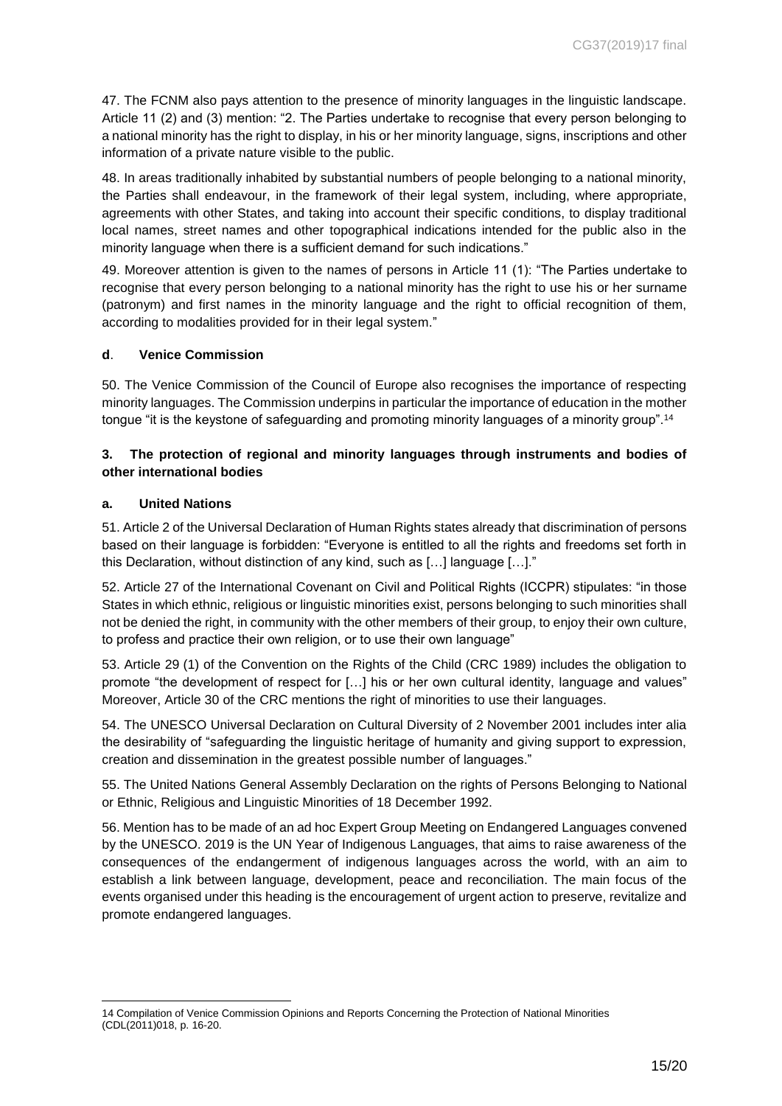47. The FCNM also pays attention to the presence of minority languages in the linguistic landscape. Article 11 (2) and (3) mention: "2. The Parties undertake to recognise that every person belonging to a national minority has the right to display, in his or her minority language, signs, inscriptions and other information of a private nature visible to the public.

48. In areas traditionally inhabited by substantial numbers of people belonging to a national minority, the Parties shall endeavour, in the framework of their legal system, including, where appropriate, agreements with other States, and taking into account their specific conditions, to display traditional local names, street names and other topographical indications intended for the public also in the minority language when there is a sufficient demand for such indications."

49. Moreover attention is given to the names of persons in Article 11 (1): "The Parties undertake to recognise that every person belonging to a national minority has the right to use his or her surname (patronym) and first names in the minority language and the right to official recognition of them, according to modalities provided for in their legal system."

### **d**. **Venice Commission**

50. The Venice Commission of the Council of Europe also recognises the importance of respecting minority languages. The Commission underpins in particular the importance of education in the mother tongue "it is the keystone of safeguarding and promoting minority languages of a minority group".<sup>14</sup>

# **3. The protection of regional and minority languages through instruments and bodies of other international bodies**

### **a. United Nations**

51. Article 2 of the Universal Declaration of Human Rights states already that discrimination of persons based on their language is forbidden: "Everyone is entitled to all the rights and freedoms set forth in this Declaration, without distinction of any kind, such as […] language […]."

52. Article 27 of the International Covenant on Civil and Political Rights (ICCPR) stipulates: "in those States in which ethnic, religious or linguistic minorities exist, persons belonging to such minorities shall not be denied the right, in community with the other members of their group, to enjoy their own culture, to profess and practice their own religion, or to use their own language"

53. Article 29 (1) of the Convention on the Rights of the Child (CRC 1989) includes the obligation to promote "the development of respect for […] his or her own cultural identity, language and values" Moreover, Article 30 of the CRC mentions the right of minorities to use their languages.

54. The UNESCO Universal Declaration on Cultural Diversity of 2 November 2001 includes inter alia the desirability of "safeguarding the linguistic heritage of humanity and giving support to expression, creation and dissemination in the greatest possible number of languages."

55. The United Nations General Assembly Declaration on the rights of Persons Belonging to National or Ethnic, Religious and Linguistic Minorities of 18 December 1992.

56. Mention has to be made of an ad hoc Expert Group Meeting on Endangered Languages convened by the UNESCO. 2019 is the UN Year of Indigenous Languages, that aims to raise awareness of the consequences of the endangerment of indigenous languages across the world, with an aim to establish a link between language, development, peace and reconciliation. The main focus of the events organised under this heading is the encouragement of urgent action to preserve, revitalize and promote endangered languages.

<sup>-</sup>14 Compilation of Venice Commission Opinions and Reports Concerning the Protection of National Minorities (CDL(2011)018, p. 16-20.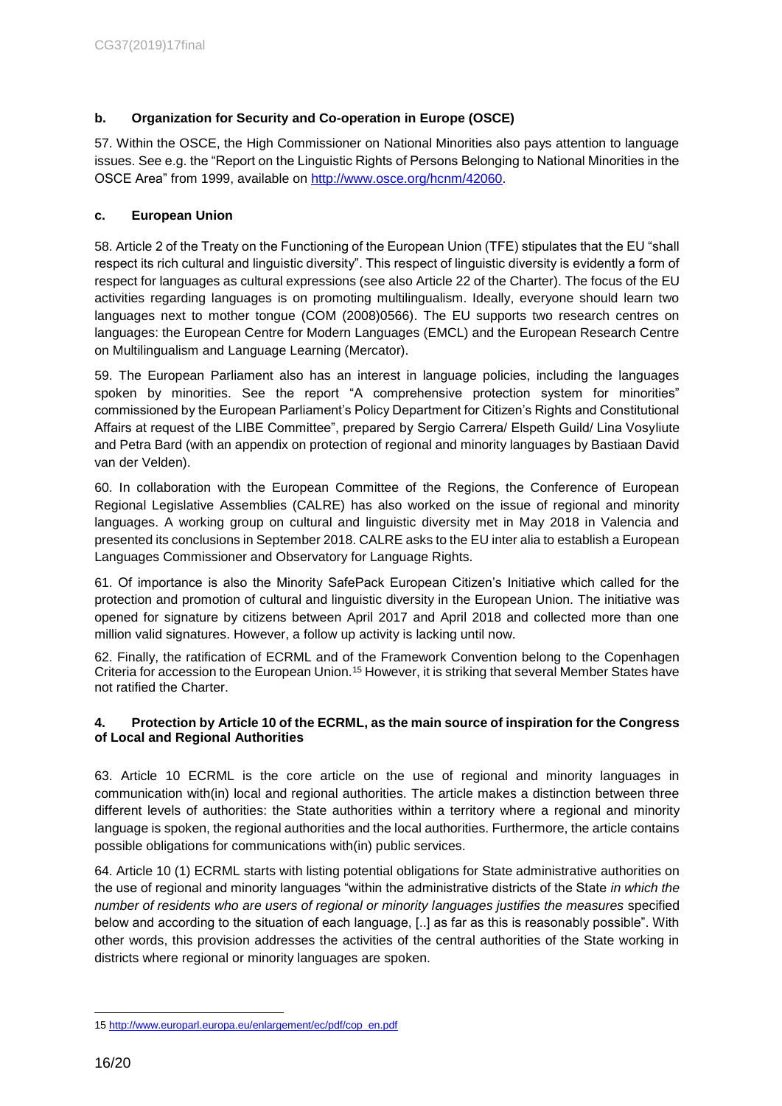# **b. Organization for Security and Co-operation in Europe (OSCE)**

57. Within the OSCE, the High Commissioner on National Minorities also pays attention to language issues. See e.g. the "Report on the Linguistic Rights of Persons Belonging to National Minorities in the OSCE Area" from 1999, available on [http://www.osce.org/hcnm/42060.](http://www.osce.org/hcnm/42060)

# **c. European Union**

58. Article 2 of the Treaty on the Functioning of the European Union (TFE) stipulates that the EU "shall respect its rich cultural and linguistic diversity". This respect of linguistic diversity is evidently a form of respect for languages as cultural expressions (see also Article 22 of the Charter). The focus of the EU activities regarding languages is on promoting multilingualism. Ideally, everyone should learn two languages next to mother tongue (COM (2008)0566). The EU supports two research centres on languages: the European Centre for Modern Languages (EMCL) and the European Research Centre on Multilingualism and Language Learning (Mercator).

59. The European Parliament also has an interest in language policies, including the languages spoken by minorities. See the report "A comprehensive protection system for minorities" commissioned by the European Parliament's Policy Department for Citizen's Rights and Constitutional Affairs at request of the LIBE Committee", prepared by Sergio Carrera/ Elspeth Guild/ Lina Vosyliute and Petra Bard (with an appendix on protection of regional and minority languages by Bastiaan David van der Velden).

60. In collaboration with the European Committee of the Regions, the Conference of European Regional Legislative Assemblies (CALRE) has also worked on the issue of regional and minority languages. A working group on cultural and linguistic diversity met in May 2018 in Valencia and presented its conclusions in September 2018. CALRE asks to the EU inter alia to establish a European Languages Commissioner and Observatory for Language Rights.

61. Of importance is also the Minority SafePack European Citizen's Initiative which called for the protection and promotion of cultural and linguistic diversity in the European Union. The initiative was opened for signature by citizens between April 2017 and April 2018 and collected more than one million valid signatures. However, a follow up activity is lacking until now.

62. Finally, the ratification of ECRML and of the Framework Convention belong to the Copenhagen Criteria for accession to the European Union.<sup>15</sup> However, it is striking that several Member States have not ratified the Charter.

# **4. Protection by Article 10 of the ECRML, as the main source of inspiration for the Congress of Local and Regional Authorities**

63. Article 10 ECRML is the core article on the use of regional and minority languages in communication with(in) local and regional authorities. The article makes a distinction between three different levels of authorities: the State authorities within a territory where a regional and minority language is spoken, the regional authorities and the local authorities. Furthermore, the article contains possible obligations for communications with(in) public services.

64. Article 10 (1) ECRML starts with listing potential obligations for State administrative authorities on the use of regional and minority languages "within the administrative districts of the State *in which the number of residents who are users of regional or minority languages justifies the measures* specified below and according to the situation of each language, [..] as far as this is reasonably possible". With other words, this provision addresses the activities of the central authorities of the State working in districts where regional or minority languages are spoken.

<sup>-</sup>15 [http://www.europarl.europa.eu/enlargement/ec/pdf/cop\\_en.pdf](http://www.europarl.europa.eu/enlargement/ec/pdf/cop_en.pdf)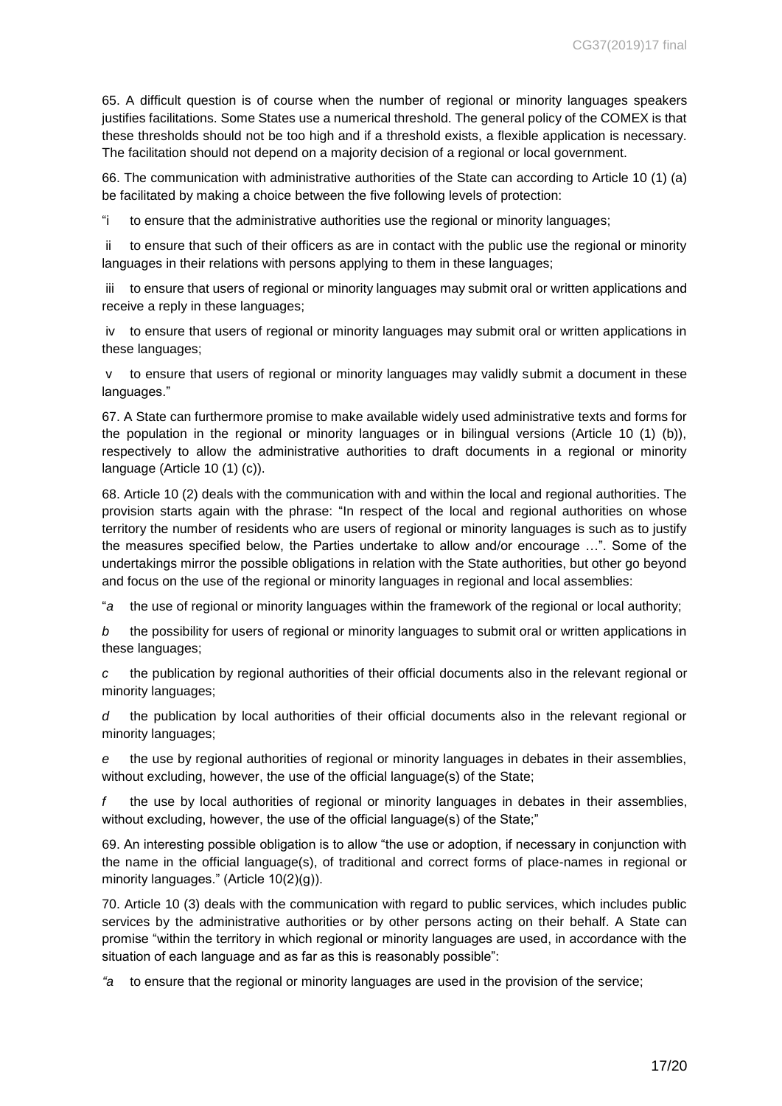65. A difficult question is of course when the number of regional or minority languages speakers justifies facilitations. Some States use a numerical threshold. The general policy of the COMEX is that these thresholds should not be too high and if a threshold exists, a flexible application is necessary. The facilitation should not depend on a majority decision of a regional or local government.

66. The communication with administrative authorities of the State can according to Article 10 (1) (a) be facilitated by making a choice between the five following levels of protection:

to ensure that the administrative authorities use the regional or minority languages;

ii to ensure that such of their officers as are in contact with the public use the regional or minority languages in their relations with persons applying to them in these languages;

iii to ensure that users of regional or minority languages may submit oral or written applications and receive a reply in these languages;

iv to ensure that users of regional or minority languages may submit oral or written applications in these languages;

v to ensure that users of regional or minority languages may validly submit a document in these languages."

67. A State can furthermore promise to make available widely used administrative texts and forms for the population in the regional or minority languages or in bilingual versions (Article 10 (1) (b)), respectively to allow the administrative authorities to draft documents in a regional or minority language (Article 10 (1) (c)).

68. Article 10 (2) deals with the communication with and within the local and regional authorities. The provision starts again with the phrase: "In respect of the local and regional authorities on whose territory the number of residents who are users of regional or minority languages is such as to justify the measures specified below, the Parties undertake to allow and/or encourage …". Some of the undertakings mirror the possible obligations in relation with the State authorities, but other go beyond and focus on the use of the regional or minority languages in regional and local assemblies:

"*a* the use of regional or minority languages within the framework of the regional or local authority;

*b* the possibility for users of regional or minority languages to submit oral or written applications in these languages;

*c* the publication by regional authorities of their official documents also in the relevant regional or minority languages;

*d* the publication by local authorities of their official documents also in the relevant regional or minority languages;

*e* the use by regional authorities of regional or minority languages in debates in their assemblies, without excluding, however, the use of the official language(s) of the State;

*f* the use by local authorities of regional or minority languages in debates in their assemblies, without excluding, however, the use of the official language(s) of the State;"

69. An interesting possible obligation is to allow "the use or adoption, if necessary in conjunction with the name in the official language(s), of traditional and correct forms of place-names in regional or minority languages." (Article 10(2)(g)).

70. Article 10 (3) deals with the communication with regard to public services, which includes public services by the administrative authorities or by other persons acting on their behalf. A State can promise "within the territory in which regional or minority languages are used, in accordance with the situation of each language and as far as this is reasonably possible":

*"a* to ensure that the regional or minority languages are used in the provision of the service;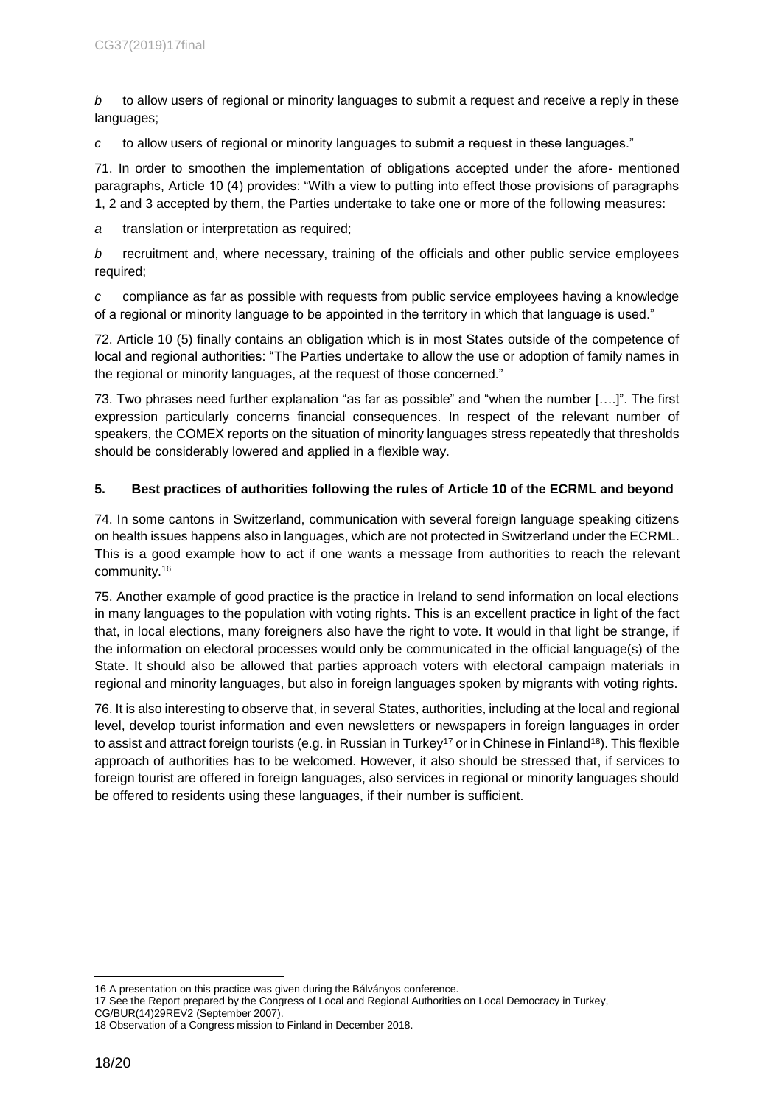*b* to allow users of regional or minority languages to submit a request and receive a reply in these languages;

*c* to allow users of regional or minority languages to submit a request in these languages."

71. In order to smoothen the implementation of obligations accepted under the afore- mentioned paragraphs, Article 10 (4) provides: "With a view to putting into effect those provisions of paragraphs 1, 2 and 3 accepted by them, the Parties undertake to take one or more of the following measures:

*a* translation or interpretation as required;

*b* recruitment and, where necessary, training of the officials and other public service employees required;

*c* compliance as far as possible with requests from public service employees having a knowledge of a regional or minority language to be appointed in the territory in which that language is used."

72. Article 10 (5) finally contains an obligation which is in most States outside of the competence of local and regional authorities: "The Parties undertake to allow the use or adoption of family names in the regional or minority languages, at the request of those concerned."

73. Two phrases need further explanation "as far as possible" and "when the number [….]". The first expression particularly concerns financial consequences. In respect of the relevant number of speakers, the COMEX reports on the situation of minority languages stress repeatedly that thresholds should be considerably lowered and applied in a flexible way.

### **5. Best practices of authorities following the rules of Article 10 of the ECRML and beyond**

74. In some cantons in Switzerland, communication with several foreign language speaking citizens on health issues happens also in languages, which are not protected in Switzerland under the ECRML. This is a good example how to act if one wants a message from authorities to reach the relevant community.<sup>16</sup>

75. Another example of good practice is the practice in Ireland to send information on local elections in many languages to the population with voting rights. This is an excellent practice in light of the fact that, in local elections, many foreigners also have the right to vote. It would in that light be strange, if the information on electoral processes would only be communicated in the official language(s) of the State. It should also be allowed that parties approach voters with electoral campaign materials in regional and minority languages, but also in foreign languages spoken by migrants with voting rights.

76. It is also interesting to observe that, in several States, authorities, including at the local and regional level, develop tourist information and even newsletters or newspapers in foreign languages in order to assist and attract foreign tourists (e.g. in Russian in Turkey<sup>17</sup> or in Chinese in Finland<sup>18</sup>). This flexible approach of authorities has to be welcomed. However, it also should be stressed that, if services to foreign tourist are offered in foreign languages, also services in regional or minority languages should be offered to residents using these languages, if their number is sufficient.

<sup>-</sup>16 A presentation on this practice was given during the Bálványos conference.

<sup>17</sup> See the Report prepared by the Congress of Local and Regional Authorities on Local Democracy in Turkey,

CG/BUR(14)29REV2 (September 2007).

<sup>18</sup> Observation of a Congress mission to Finland in December 2018.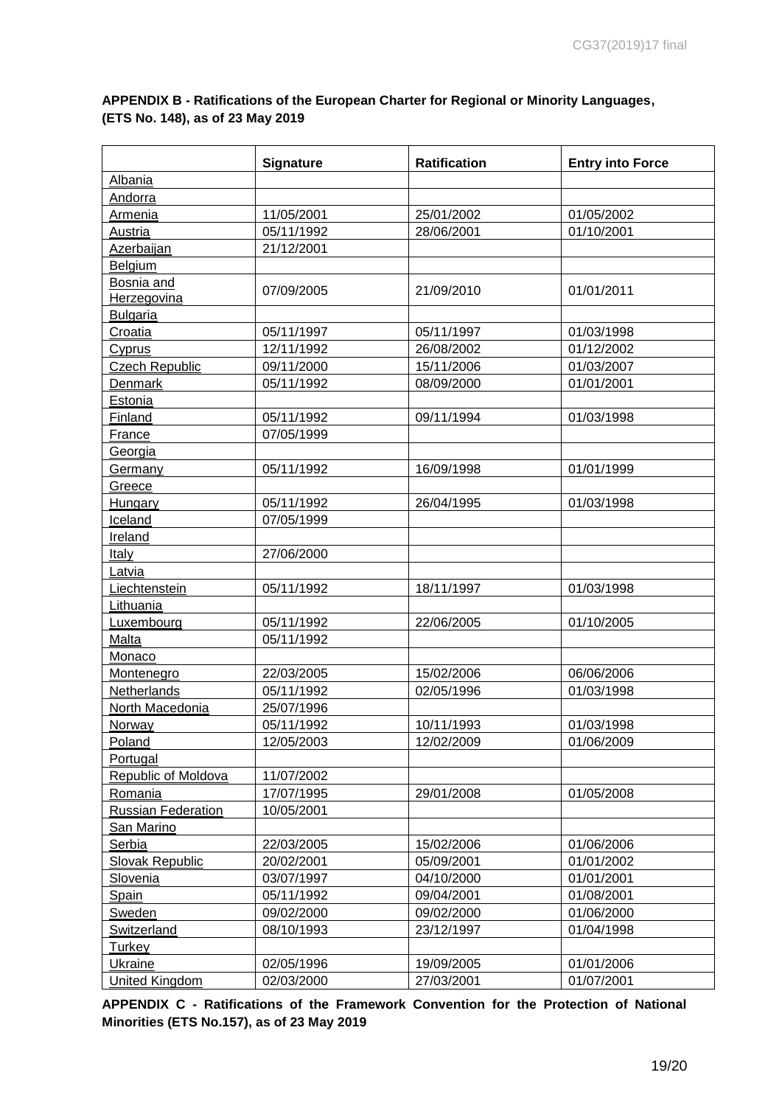# **APPENDIX B - Ratifications of the European Charter for Regional or Minority Languages, (ETS No. 148), as of 23 May 2019**

|                            | <b>Signature</b> | <b>Ratification</b> | <b>Entry into Force</b> |
|----------------------------|------------------|---------------------|-------------------------|
| Albania                    |                  |                     |                         |
| Andorra                    |                  |                     |                         |
| Armenia                    | 11/05/2001       | 25/01/2002          | 01/05/2002              |
| Austria                    | 05/11/1992       | 28/06/2001          | 01/10/2001              |
| Azerbaijan                 | 21/12/2001       |                     |                         |
| Belgium                    |                  |                     |                         |
| Bosnia and                 | 07/09/2005       | 21/09/2010          | 01/01/2011              |
| Herzegovina                |                  |                     |                         |
| <b>Bulgaria</b>            |                  |                     |                         |
| Croatia                    | 05/11/1997       | 05/11/1997          | 01/03/1998              |
| <b>Cyprus</b>              | 12/11/1992       | 26/08/2002          | 01/12/2002              |
| <b>Czech Republic</b>      | 09/11/2000       | 15/11/2006          | 01/03/2007              |
| Denmark                    | 05/11/1992       | 08/09/2000          | 01/01/2001              |
| Estonia                    |                  |                     |                         |
| Finland                    | 05/11/1992       | 09/11/1994          | 01/03/1998              |
| <b>France</b>              | 07/05/1999       |                     |                         |
| Georgia                    |                  |                     |                         |
| Germany                    | 05/11/1992       | 16/09/1998          | 01/01/1999              |
| Greece                     |                  |                     |                         |
| Hungary                    | 05/11/1992       | 26/04/1995          | 01/03/1998              |
| Iceland                    | 07/05/1999       |                     |                         |
| Ireland                    |                  |                     |                         |
| Italy                      | 27/06/2000       |                     |                         |
| Latvia                     |                  |                     |                         |
| Liechtenstein              | 05/11/1992       | 18/11/1997          | 01/03/1998              |
| Lithuania                  |                  |                     |                         |
| Luxembourg                 | 05/11/1992       | 22/06/2005          | 01/10/2005              |
| Malta                      | 05/11/1992       |                     |                         |
| Monaco                     |                  |                     |                         |
| Montenegro                 | 22/03/2005       | 15/02/2006          | 06/06/2006              |
| Netherlands                | 05/11/1992       | 02/05/1996          | 01/03/1998              |
| North Macedonia            | 25/07/1996       |                     |                         |
| Norway                     | 05/11/1992       | 10/11/1993          | 01/03/1998              |
| Poland                     | 12/05/2003       | 12/02/2009          | 01/06/2009              |
| Portugal                   |                  |                     |                         |
| <b>Republic of Moldova</b> | 11/07/2002       |                     |                         |
| Romania                    | 17/07/1995       | 29/01/2008          | 01/05/2008              |
| <b>Russian Federation</b>  | 10/05/2001       |                     |                         |
| San Marino                 |                  |                     |                         |
| <b>Serbia</b>              | 22/03/2005       | 15/02/2006          | 01/06/2006              |
| Slovak Republic            | 20/02/2001       | 05/09/2001          | 01/01/2002              |
| Slovenia                   | 03/07/1997       | 04/10/2000          | 01/01/2001              |
| Spain                      | 05/11/1992       | 09/04/2001          | 01/08/2001              |
| Sweden                     | 09/02/2000       | 09/02/2000          | 01/06/2000              |
| Switzerland                | 08/10/1993       | 23/12/1997          | 01/04/1998              |
| <b>Turkey</b>              |                  |                     |                         |
| <b>Ukraine</b>             | 02/05/1996       | 19/09/2005          | 01/01/2006              |
| <b>United Kingdom</b>      | 02/03/2000       | 27/03/2001          | 01/07/2001              |

**APPENDIX C - Ratifications of the Framework Convention for the Protection of National Minorities (ETS No.157), as of 23 May 2019**